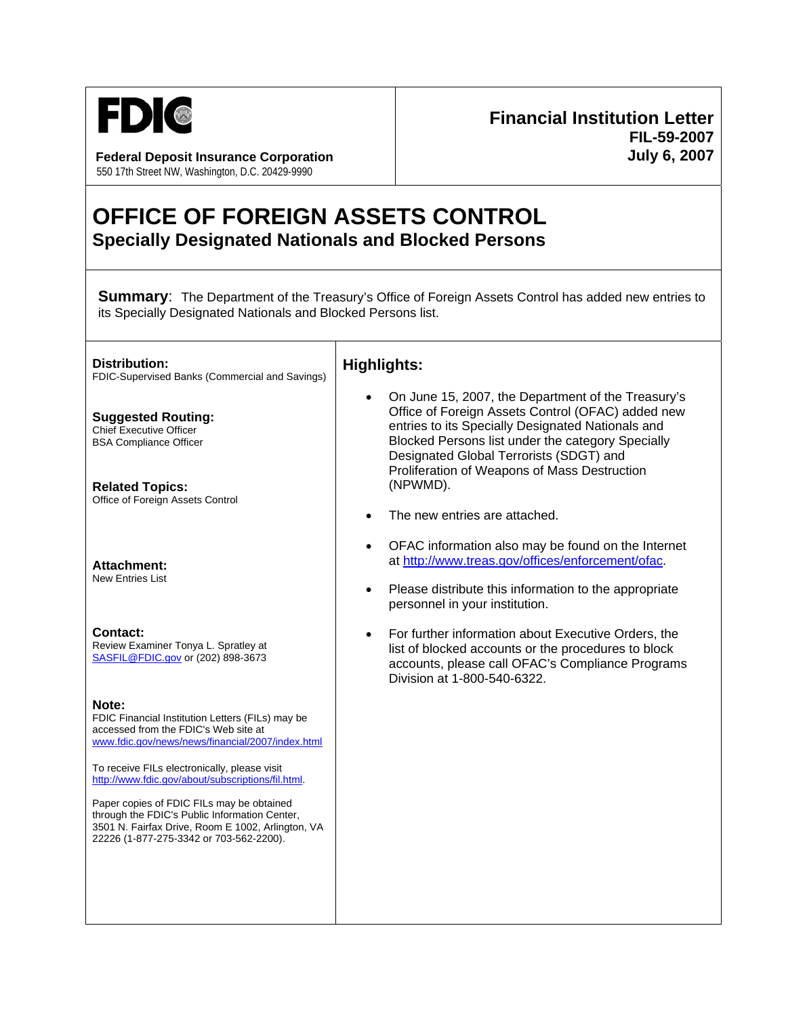

550 17th Street NW, Washington, D.C. 20429-9990

## **Financial Institution Letter FIL-59-2007** Federal Deposit Insurance Corporation **Communist Communist Communist Communist Communist Communist Communist Communist Communist Communist Communist Communist Communist Communist Communist Communist Communist Communist Com**

## **OFFICE OF FOREIGN ASSETS CONTROL Specially Designated Nationals and Blocked Persons**

**Summary:** The Department of the Treasury's Office of Foreign Assets Control has added new entries to its Specially Designated Nationals and Blocked Persons list.

**Distribution:**  FDIC-Supervised Banks (Commercial and Savings) **Highlights:**

**Suggested Routing:**  Chief Executive Officer BSA Compliance Officer

**Related Topics:**  Office of Foreign Assets Control

**Attachment:**  New Entries List

**Contact:**  Review Examiner Tonya L. Spratley at [SASFIL@FDIC.gov](mailto:SAS%20FIL@FDIC.gov) or (202) 898-3673

**Note:** 

FDIC Financial Institution Letters (FILs) may be accessed from the FDIC's Web site at [www.fdic.gov/news/news/financial/2007/index.html](http://www.fdic.gov/news/news/financial/2007/index.html)

To receive FILs electronically, please visit [http://www.fdic.gov/about/subscriptions/fil.html.](http://www.fdic.gov/about/subscriptions/index.html)

Paper copies of FDIC FILs may be obtained through the FDIC's Public Information Center, 3501 N. Fairfax Drive, Room E 1002, Arlington, VA 22226 (1-877-275-3342 or 703-562-2200).

- On June 15, 2007, the Department of the Treasury's Office of Foreign Assets Control (OFAC) added new entries to its Specially Designated Nationals and Blocked Persons list under the category Specially Designated Global Terrorists (SDGT) and Proliferation of Weapons of Mass Destruction (NPWMD).
- The new entries are attached.
- OFAC information also may be found on the Internet at<http://www.treas.gov/offices/enforcement/ofac> .
- Please distribute this information to the appropriate personnel in your institution.
- For further information about Executive Orders, the list of blocked accounts or the procedures to block accounts, please call OFAC's Compliance Programs Division at 1-800-540-6322.